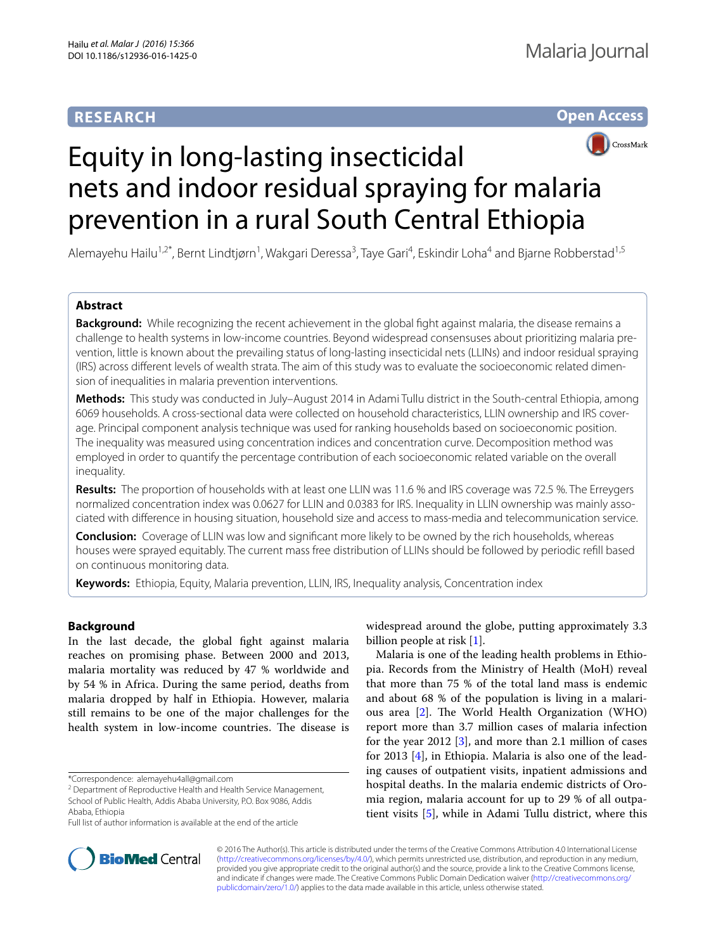# **RESEARCH**





# Equity in long-lasting insecticidal nets and indoor residual spraying for malaria prevention in a rural South Central Ethiopia

Alemayehu Hailu<sup>1,2\*</sup>, Bernt Lindtjørn<sup>1</sup>, Wakgari Deressa<sup>3</sup>, Taye Gari<sup>4</sup>, Eskindir Loha<sup>4</sup> and Bjarne Robberstad<sup>1,5</sup>

# **Abstract**

**Background:** While recognizing the recent achievement in the global fight against malaria, the disease remains a challenge to health systems in low-income countries. Beyond widespread consensuses about prioritizing malaria prevention, little is known about the prevailing status of long-lasting insecticidal nets (LLINs) and indoor residual spraying (IRS) across different levels of wealth strata. The aim of this study was to evaluate the socioeconomic related dimension of inequalities in malaria prevention interventions.

**Methods:** This study was conducted in July–August 2014 in Adami Tullu district in the South-central Ethiopia, among 6069 households. A cross-sectional data were collected on household characteristics, LLIN ownership and IRS coverage. Principal component analysis technique was used for ranking households based on socioeconomic position. The inequality was measured using concentration indices and concentration curve. Decomposition method was employed in order to quantify the percentage contribution of each socioeconomic related variable on the overall inequality.

**Results:** The proportion of households with at least one LLIN was 11.6 % and IRS coverage was 72.5 %. The Erreygers normalized concentration index was 0.0627 for LLIN and 0.0383 for IRS. Inequality in LLIN ownership was mainly associated with difference in housing situation, household size and access to mass-media and telecommunication service.

**Conclusion:** Coverage of LLIN was low and significant more likely to be owned by the rich households, whereas houses were sprayed equitably. The current mass free distribution of LLINs should be followed by periodic refill based on continuous monitoring data.

**Keywords:** Ethiopia, Equity, Malaria prevention, LLIN, IRS, Inequality analysis, Concentration index

# **Background**

In the last decade, the global fight against malaria reaches on promising phase. Between 2000 and 2013, malaria mortality was reduced by 47 % worldwide and by 54 % in Africa. During the same period, deaths from malaria dropped by half in Ethiopia. However, malaria still remains to be one of the major challenges for the health system in low-income countries. The disease is



Malaria is one of the leading health problems in Ethiopia. Records from the Ministry of Health (MoH) reveal that more than 75 % of the total land mass is endemic and about 68 % of the population is living in a malarious area [[2\]](#page-9-1). The World Health Organization (WHO) report more than 3.7 million cases of malaria infection for the year 2012 [[3](#page-9-2)], and more than 2.1 million of cases for 2013 [\[4](#page-9-3)], in Ethiopia. Malaria is also one of the leading causes of outpatient visits, inpatient admissions and hospital deaths. In the malaria endemic districts of Oromia region, malaria account for up to 29 % of all outpatient visits [\[5](#page-9-4)], while in Adami Tullu district, where this



© 2016 The Author(s). This article is distributed under the terms of the Creative Commons Attribution 4.0 International License [\(http://creativecommons.org/licenses/by/4.0/\)](http://creativecommons.org/licenses/by/4.0/), which permits unrestricted use, distribution, and reproduction in any medium, provided you give appropriate credit to the original author(s) and the source, provide a link to the Creative Commons license, and indicate if changes were made. The Creative Commons Public Domain Dedication waiver ([http://creativecommons.org/](http://creativecommons.org/publicdomain/zero/1.0/) [publicdomain/zero/1.0/](http://creativecommons.org/publicdomain/zero/1.0/)) applies to the data made available in this article, unless otherwise stated.

<sup>\*</sup>Correspondence: alemayehu4all@gmail.com

<sup>&</sup>lt;sup>2</sup> Department of Reproductive Health and Health Service Management,

School of Public Health, Addis Ababa University, P.O. Box 9086, Addis Ababa, Ethiopia

Full list of author information is available at the end of the article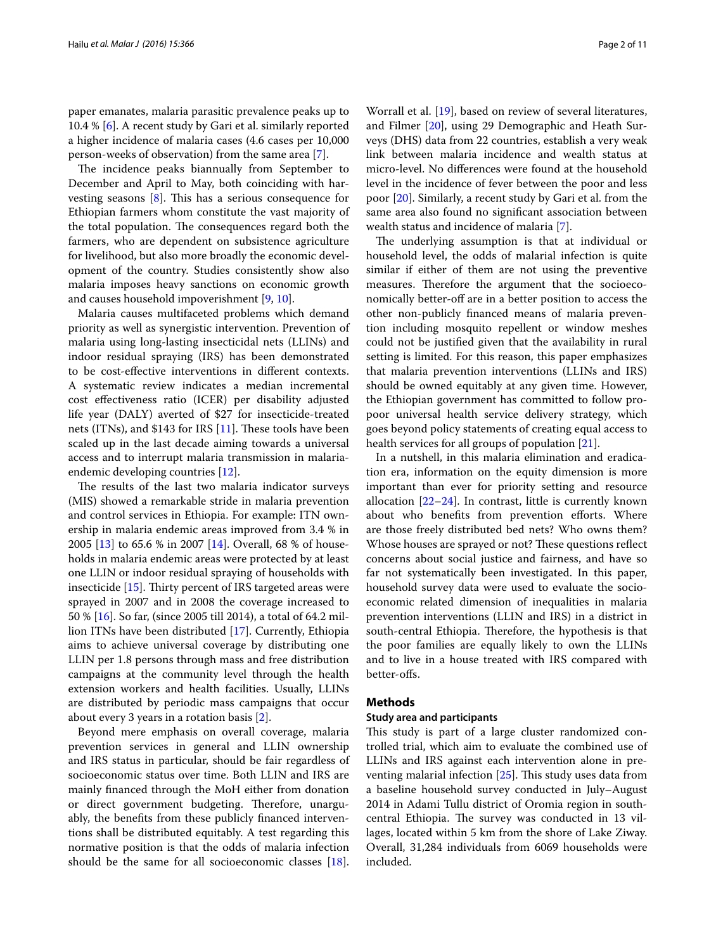paper emanates, malaria parasitic prevalence peaks up to 10.4 % [\[6](#page-9-5)]. A recent study by Gari et al. similarly reported a higher incidence of malaria cases (4.6 cases per 10,000 person-weeks of observation) from the same area [\[7](#page-9-6)].

The incidence peaks biannually from September to December and April to May, both coinciding with harvesting seasons  $[8]$  $[8]$ . This has a serious consequence for Ethiopian farmers whom constitute the vast majority of the total population. The consequences regard both the farmers, who are dependent on subsistence agriculture for livelihood, but also more broadly the economic development of the country. Studies consistently show also malaria imposes heavy sanctions on economic growth and causes household impoverishment [[9](#page-9-8), [10\]](#page-9-9).

Malaria causes multifaceted problems which demand priority as well as synergistic intervention. Prevention of malaria using long-lasting insecticidal nets (LLINs) and indoor residual spraying (IRS) has been demonstrated to be cost-effective interventions in different contexts. A systematic review indicates a median incremental cost effectiveness ratio (ICER) per disability adjusted life year (DALY) averted of \$27 for insecticide-treated nets (ITNs), and \$143 for IRS [[11\]](#page-9-10). These tools have been scaled up in the last decade aiming towards a universal access and to interrupt malaria transmission in malariaendemic developing countries [[12](#page-9-11)].

The results of the last two malaria indicator surveys (MIS) showed a remarkable stride in malaria prevention and control services in Ethiopia. For example: ITN ownership in malaria endemic areas improved from 3.4 % in 2005 [\[13](#page-9-12)] to 65.6 % in 2007 [[14\]](#page-9-13). Overall, 68 % of households in malaria endemic areas were protected by at least one LLIN or indoor residual spraying of households with insecticide [[15\]](#page-10-0). Thirty percent of IRS targeted areas were sprayed in 2007 and in 2008 the coverage increased to 50 % [\[16](#page-10-1)]. So far, (since 2005 till 2014), a total of 64.2 million ITNs have been distributed [\[17](#page-10-2)]. Currently, Ethiopia aims to achieve universal coverage by distributing one LLIN per 1.8 persons through mass and free distribution campaigns at the community level through the health extension workers and health facilities. Usually, LLINs are distributed by periodic mass campaigns that occur about every 3 years in a rotation basis [\[2](#page-9-1)].

Beyond mere emphasis on overall coverage, malaria prevention services in general and LLIN ownership and IRS status in particular, should be fair regardless of socioeconomic status over time. Both LLIN and IRS are mainly financed through the MoH either from donation or direct government budgeting. Therefore, unarguably, the benefits from these publicly financed interventions shall be distributed equitably. A test regarding this normative position is that the odds of malaria infection should be the same for all socioeconomic classes [\[18](#page-10-3)].

Worrall et al. [[19\]](#page-10-4), based on review of several literatures, and Filmer [[20\]](#page-10-5), using 29 Demographic and Heath Surveys (DHS) data from 22 countries, establish a very weak link between malaria incidence and wealth status at micro-level. No differences were found at the household level in the incidence of fever between the poor and less poor [[20\]](#page-10-5). Similarly, a recent study by Gari et al. from the same area also found no significant association between wealth status and incidence of malaria [[7\]](#page-9-6).

The underlying assumption is that at individual or household level, the odds of malarial infection is quite similar if either of them are not using the preventive measures. Therefore the argument that the socioeconomically better-off are in a better position to access the other non-publicly financed means of malaria prevention including mosquito repellent or window meshes could not be justified given that the availability in rural setting is limited. For this reason, this paper emphasizes that malaria prevention interventions (LLINs and IRS) should be owned equitably at any given time. However, the Ethiopian government has committed to follow propoor universal health service delivery strategy, which goes beyond policy statements of creating equal access to health services for all groups of population [\[21\]](#page-10-6).

In a nutshell, in this malaria elimination and eradication era, information on the equity dimension is more important than ever for priority setting and resource allocation  $[22-24]$  $[22-24]$  $[22-24]$ . In contrast, little is currently known about who benefits from prevention efforts. Where are those freely distributed bed nets? Who owns them? Whose houses are sprayed or not? These questions reflect concerns about social justice and fairness, and have so far not systematically been investigated. In this paper, household survey data were used to evaluate the socioeconomic related dimension of inequalities in malaria prevention interventions (LLIN and IRS) in a district in south-central Ethiopia. Therefore, the hypothesis is that the poor families are equally likely to own the LLINs and to live in a house treated with IRS compared with better-offs.

## **Methods**

# **Study area and participants**

This study is part of a large cluster randomized controlled trial, which aim to evaluate the combined use of LLINs and IRS against each intervention alone in preventing malarial infection [[25\]](#page-10-9). This study uses data from a baseline household survey conducted in July–August 2014 in Adami Tullu district of Oromia region in southcentral Ethiopia. The survey was conducted in 13 villages, located within 5 km from the shore of Lake Ziway. Overall, 31,284 individuals from 6069 households were included.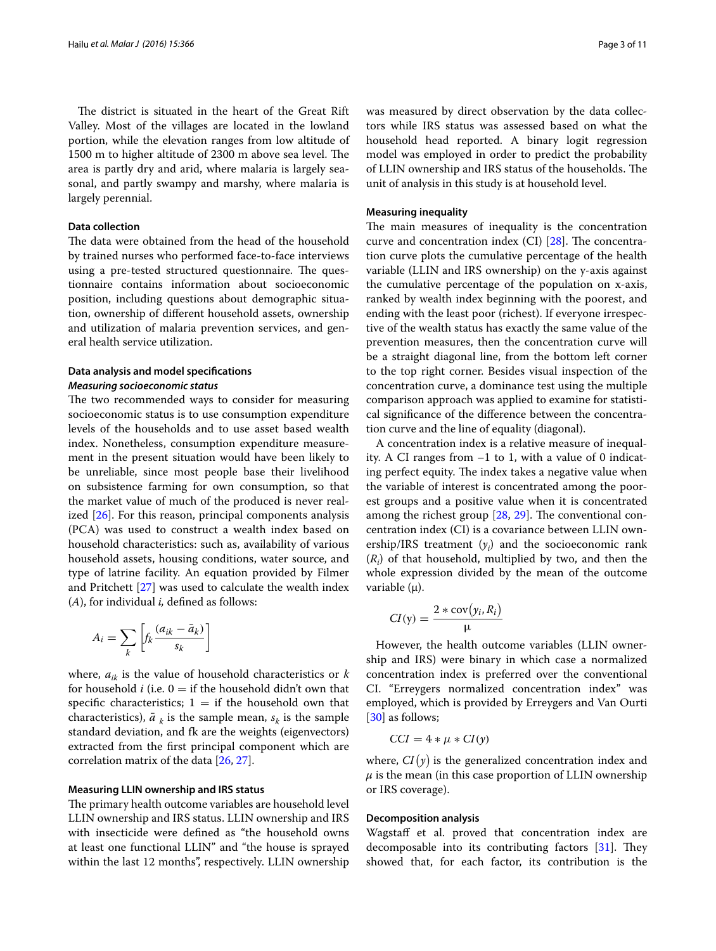The district is situated in the heart of the Great Rift Valley. Most of the villages are located in the lowland portion, while the elevation ranges from low altitude of 1500 m to higher altitude of 2300 m above sea level. The area is partly dry and arid, where malaria is largely seasonal, and partly swampy and marshy, where malaria is largely perennial.

## **Data collection**

The data were obtained from the head of the household by trained nurses who performed face-to-face interviews using a pre-tested structured questionnaire. The questionnaire contains information about socioeconomic position, including questions about demographic situation, ownership of different household assets, ownership and utilization of malaria prevention services, and general health service utilization.

# **Data analysis and model specifications** *Measuring socioeconomic status*

The two recommended ways to consider for measuring socioeconomic status is to use consumption expenditure levels of the households and to use asset based wealth index. Nonetheless, consumption expenditure measurement in the present situation would have been likely to be unreliable, since most people base their livelihood on subsistence farming for own consumption, so that the market value of much of the produced is never real-ized [[26\]](#page-10-10). For this reason, principal components analysis (PCA) was used to construct a wealth index based on household characteristics: such as, availability of various household assets, housing conditions, water source, and type of latrine facility. An equation provided by Filmer and Pritchett [[27](#page-10-11)] was used to calculate the wealth index (*A*), for individual *i,* defined as follows:

$$
A_i = \sum_k \left[ f_k \frac{(a_{ik} - \bar{a}_k)}{s_k} \right]
$$

where,  $a_{ik}$  is the value of household characteristics or  $k$ for household  $i$  (i.e.  $0 =$  if the household didn't own that specific characteristics;  $1 =$  if the household own that characteristics),  $\bar{a}_k$  is the sample mean,  $s_k$  is the sample standard deviation, and fk are the weights (eigenvectors) extracted from the first principal component which are correlation matrix of the data [\[26,](#page-10-10) [27](#page-10-11)].

## **Measuring LLIN ownership and IRS status**

The primary health outcome variables are household level LLIN ownership and IRS status. LLIN ownership and IRS with insecticide were defined as "the household owns at least one functional LLIN" and "the house is sprayed within the last 12 months", respectively. LLIN ownership was measured by direct observation by the data collectors while IRS status was assessed based on what the household head reported. A binary logit regression model was employed in order to predict the probability of LLIN ownership and IRS status of the households. The unit of analysis in this study is at household level.

# **Measuring inequality**

The main measures of inequality is the concentration curve and concentration index (CI) [[28](#page-10-12)]. The concentration curve plots the cumulative percentage of the health variable (LLIN and IRS ownership) on the y-axis against the cumulative percentage of the population on x-axis, ranked by wealth index beginning with the poorest, and ending with the least poor (richest). If everyone irrespective of the wealth status has exactly the same value of the prevention measures, then the concentration curve will be a straight diagonal line, from the bottom left corner to the top right corner. Besides visual inspection of the concentration curve, a dominance test using the multiple comparison approach was applied to examine for statistical significance of the difference between the concentration curve and the line of equality (diagonal).

A concentration index is a relative measure of inequality. A CI ranges from –1 to 1, with a value of 0 indicating perfect equity. The index takes a negative value when the variable of interest is concentrated among the poorest groups and a positive value when it is concentrated among the richest group [[28,](#page-10-12) [29\]](#page-10-13). The conventional concentration index (CI) is a covariance between LLIN ownership/IRS treatment  $(y_i)$  and the socioeconomic rank  $(R<sub>i</sub>)$  of that household, multiplied by two, and then the whole expression divided by the mean of the outcome variable (μ).

$$
CI(y) = \frac{2 * cov(y_i, R_i)}{\mu}
$$

However, the health outcome variables (LLIN ownership and IRS) were binary in which case a normalized concentration index is preferred over the conventional CI. "Erreygers normalized concentration index" was employed, which is provided by Erreygers and Van Ourti [[30\]](#page-10-14) as follows;

$$
CCI = 4 * \mu * CI(y)
$$

where,  $CI(y)$  is the generalized concentration index and  $\mu$  is the mean (in this case proportion of LLIN ownership or IRS coverage).

# **Decomposition analysis**

Wagstaff et al. proved that concentration index are decomposable into its contributing factors [[31\]](#page-10-15). They showed that, for each factor, its contribution is the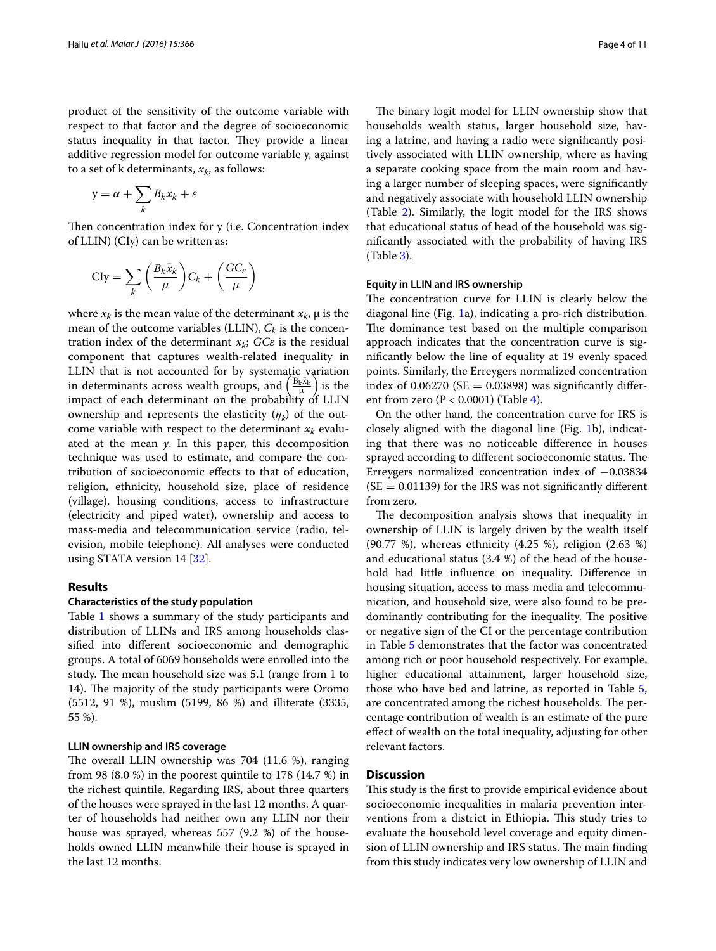product of the sensitivity of the outcome variable with respect to that factor and the degree of socioeconomic status inequality in that factor. They provide a linear additive regression model for outcome variable y, against to a set of k determinants,  $x_k$ , as follows:

$$
y = \alpha + \sum_{k} B_{k} x_{k} + \varepsilon
$$

Then concentration index for y (i.e. Concentration index of LLIN) (CIy) can be written as:

$$
C I y = \sum_{k} \left( \frac{B_{k} \bar{x}_{k}}{\mu} \right) C_{k} + \left( \frac{G C_{\varepsilon}}{\mu} \right)
$$

where  $\bar{x}_k$  is the mean value of the determinant  $x_k$ ,  $\mu$  is the mean of the outcome variables (LLIN),  $C_k$  is the concentration index of the determinant  $x_k$ ;  $GC\epsilon$  is the residual component that captures wealth-related inequality in LLIN that is not accounted for by systematic variation in determinants across wealth groups, and  $\left(\frac{B_k\bar{x}_k}{\mu}\right)$  is the impact of each determinant on the probability of LLIN ownership and represents the elasticity  $(\eta_k)$  of the outcome variable with respect to the determinant  $x_k$  evaluated at the mean *y*. In this paper, this decomposition technique was used to estimate, and compare the contribution of socioeconomic effects to that of education, religion, ethnicity, household size, place of residence (village), housing conditions, access to infrastructure (electricity and piped water), ownership and access to mass-media and telecommunication service (radio, television, mobile telephone). All analyses were conducted using STATA version 14 [[32](#page-10-16)].

# **Results**

## **Characteristics of the study population**

Table [1](#page-4-0) shows a summary of the study participants and distribution of LLINs and IRS among households classified into different socioeconomic and demographic groups. A total of 6069 households were enrolled into the study. The mean household size was 5.1 (range from 1 to 14). The majority of the study participants were Oromo (5512, 91 %), muslim (5199, 86 %) and illiterate (3335, 55 %).

## **LLIN ownership and IRS coverage**

The overall LLIN ownership was 704 (11.6 %), ranging from 98 (8.0 %) in the poorest quintile to 178 (14.7 %) in the richest quintile. Regarding IRS, about three quarters of the houses were sprayed in the last 12 months. A quarter of households had neither own any LLIN nor their house was sprayed, whereas 557 (9.2 %) of the households owned LLIN meanwhile their house is sprayed in the last 12 months.

The binary logit model for LLIN ownership show that households wealth status, larger household size, having a latrine, and having a radio were significantly positively associated with LLIN ownership, where as having a separate cooking space from the main room and having a larger number of sleeping spaces, were significantly and negatively associate with household LLIN ownership (Table [2](#page-5-0)). Similarly, the logit model for the IRS shows that educational status of head of the household was significantly associated with the probability of having IRS (Table [3\)](#page-6-0).

## **Equity in LLIN and IRS ownership**

The concentration curve for LLIN is clearly below the diagonal line (Fig. [1a](#page-7-0)), indicating a pro-rich distribution. The dominance test based on the multiple comparison approach indicates that the concentration curve is significantly below the line of equality at 19 evenly spaced points. Similarly, the Erreygers normalized concentration index of 0.06270 ( $SE = 0.03898$ ) was significantly different from zero ( $P < 0.0001$ ) (Table [4](#page-7-1)).

On the other hand, the concentration curve for IRS is closely aligned with the diagonal line (Fig. [1b](#page-7-0)), indicating that there was no noticeable difference in houses sprayed according to different socioeconomic status. The Erreygers normalized concentration index of −0.03834  $(SE = 0.01139)$  for the IRS was not significantly different from zero.

The decomposition analysis shows that inequality in ownership of LLIN is largely driven by the wealth itself (90.77 %), whereas ethnicity (4.25 %), religion (2.63 %) and educational status (3.4 %) of the head of the household had little influence on inequality. Difference in housing situation, access to mass media and telecommunication, and household size, were also found to be predominantly contributing for the inequality. The positive or negative sign of the CI or the percentage contribution in Table [5](#page-8-0) demonstrates that the factor was concentrated among rich or poor household respectively. For example, higher educational attainment, larger household size, those who have bed and latrine, as reported in Table [5](#page-8-0), are concentrated among the richest households. The percentage contribution of wealth is an estimate of the pure effect of wealth on the total inequality, adjusting for other relevant factors.

# **Discussion**

This study is the first to provide empirical evidence about socioeconomic inequalities in malaria prevention interventions from a district in Ethiopia. This study tries to evaluate the household level coverage and equity dimension of LLIN ownership and IRS status. The main finding from this study indicates very low ownership of LLIN and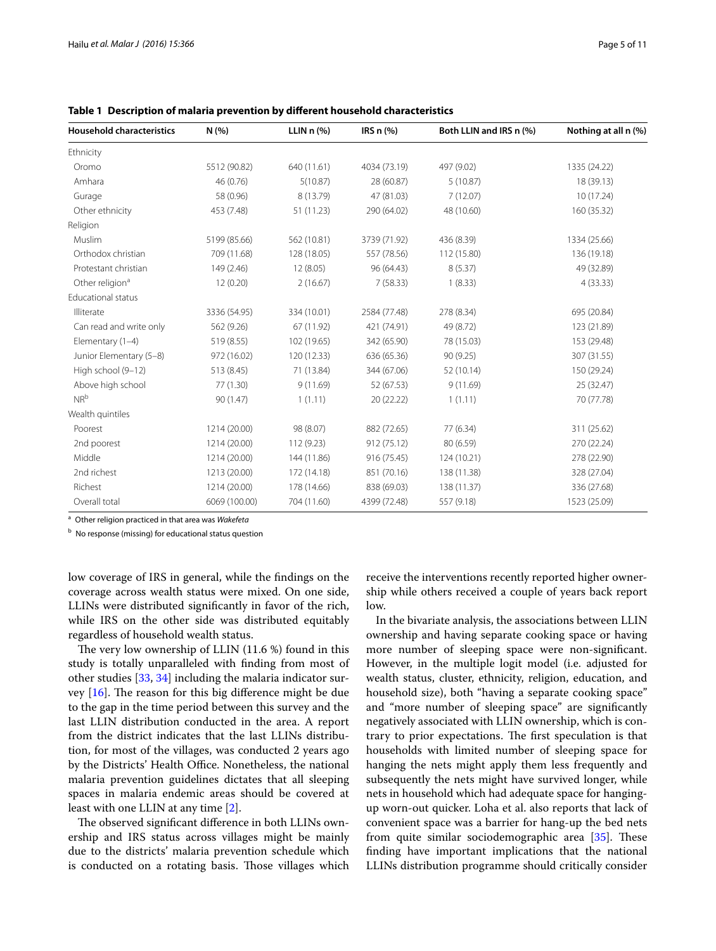| <b>Household characteristics</b> | N(% )         | LLIN $n$ (%) | IRS n (%)    | Both LLIN and IRS n (%) | Nothing at all n (%) |
|----------------------------------|---------------|--------------|--------------|-------------------------|----------------------|
| Ethnicity                        |               |              |              |                         |                      |
| Oromo                            | 5512 (90.82)  | 640 (11.61)  | 4034 (73.19) | 497 (9.02)              | 1335 (24.22)         |
| Amhara                           | 46 (0.76)     | 5(10.87)     | 28 (60.87)   | 5(10.87)                | 18 (39.13)           |
| Gurage                           | 58 (0.96)     | 8 (13.79)    | 47 (81.03)   | 7(12.07)                | 10 (17.24)           |
| Other ethnicity                  | 453 (7.48)    | 51 (11.23)   | 290 (64.02)  | 48 (10.60)              | 160 (35.32)          |
| Religion                         |               |              |              |                         |                      |
| Muslim                           | 5199 (85.66)  | 562 (10.81)  | 3739 (71.92) | 436 (8.39)              | 1334 (25.66)         |
| Orthodox christian               | 709 (11.68)   | 128 (18.05)  | 557 (78.56)  | 112 (15.80)             | 136 (19.18)          |
| Protestant christian             | 149 (2.46)    | 12 (8.05)    | 96 (64.43)   | 8(5.37)                 | 49 (32.89)           |
| Other religion <sup>a</sup>      | 12(0.20)      | 2(16.67)     | 7(58.33)     | 1(8.33)                 | 4(33.33)             |
| <b>Educational status</b>        |               |              |              |                         |                      |
| Illiterate                       | 3336 (54.95)  | 334 (10.01)  | 2584 (77.48) | 278 (8.34)              | 695 (20.84)          |
| Can read and write only          | 562 (9.26)    | 67 (11.92)   | 421 (74.91)  | 49 (8.72)               | 123 (21.89)          |
| Elementary (1-4)                 | 519 (8.55)    | 102 (19.65)  | 342 (65.90)  | 78 (15.03)              | 153 (29.48)          |
| Junior Elementary (5-8)          | 972 (16.02)   | 120 (12.33)  | 636 (65.36)  | 90 (9.25)               | 307 (31.55)          |
| High school (9-12)               | 513 (8.45)    | 71 (13.84)   | 344 (67.06)  | 52 (10.14)              | 150 (29.24)          |
| Above high school                | 77 (1.30)     | 9(11.69)     | 52 (67.53)   | 9(11.69)                | 25 (32.47)           |
| $NR^b$                           | 90 (1.47)     | 1(1.11)      | 20 (22.22)   | 1(1.11)                 | 70 (77.78)           |
| Wealth quintiles                 |               |              |              |                         |                      |
| Poorest                          | 1214 (20.00)  | 98 (8.07)    | 882 (72.65)  | 77 (6.34)               | 311 (25.62)          |
| 2nd poorest                      | 1214 (20.00)  | 112 (9.23)   | 912 (75.12)  | 80 (6.59)               | 270 (22.24)          |
| Middle                           | 1214 (20.00)  | 144 (11.86)  | 916 (75.45)  | 124 (10.21)             | 278 (22.90)          |
| 2nd richest                      | 1213 (20.00)  | 172 (14.18)  | 851 (70.16)  | 138 (11.38)             | 328 (27.04)          |
| Richest                          | 1214 (20.00)  | 178 (14.66)  | 838 (69.03)  | 138 (11.37)             | 336 (27.68)          |
| Overall total                    | 6069 (100.00) | 704 (11.60)  | 4399 (72.48) | 557 (9.18)              | 1523 (25.09)         |

<span id="page-4-0"></span>**Table 1 Description of malaria prevention by different household characteristics**

<sup>a</sup> Other religion practiced in that area was *Wakefeta*

b No response (missing) for educational status question

low coverage of IRS in general, while the findings on the coverage across wealth status were mixed. On one side, LLINs were distributed significantly in favor of the rich, while IRS on the other side was distributed equitably regardless of household wealth status.

The very low ownership of LLIN (11.6 %) found in this study is totally unparalleled with finding from most of other studies [\[33](#page-10-17), [34\]](#page-10-18) including the malaria indicator survey  $[16]$  $[16]$  $[16]$ . The reason for this big difference might be due to the gap in the time period between this survey and the last LLIN distribution conducted in the area. A report from the district indicates that the last LLINs distribution, for most of the villages, was conducted 2 years ago by the Districts' Health Office. Nonetheless, the national malaria prevention guidelines dictates that all sleeping spaces in malaria endemic areas should be covered at least with one LLIN at any time [[2](#page-9-1)].

The observed significant difference in both LLINs ownership and IRS status across villages might be mainly due to the districts' malaria prevention schedule which is conducted on a rotating basis. Those villages which receive the interventions recently reported higher ownership while others received a couple of years back report low.

In the bivariate analysis, the associations between LLIN ownership and having separate cooking space or having more number of sleeping space were non-significant. However, in the multiple logit model (i.e. adjusted for wealth status, cluster, ethnicity, religion, education, and household size), both "having a separate cooking space" and "more number of sleeping space" are significantly negatively associated with LLIN ownership, which is contrary to prior expectations. The first speculation is that households with limited number of sleeping space for hanging the nets might apply them less frequently and subsequently the nets might have survived longer, while nets in household which had adequate space for hangingup worn-out quicker. Loha et al. also reports that lack of convenient space was a barrier for hang-up the bed nets from quite similar sociodemographic area [[35](#page-10-19)]. These finding have important implications that the national LLINs distribution programme should critically consider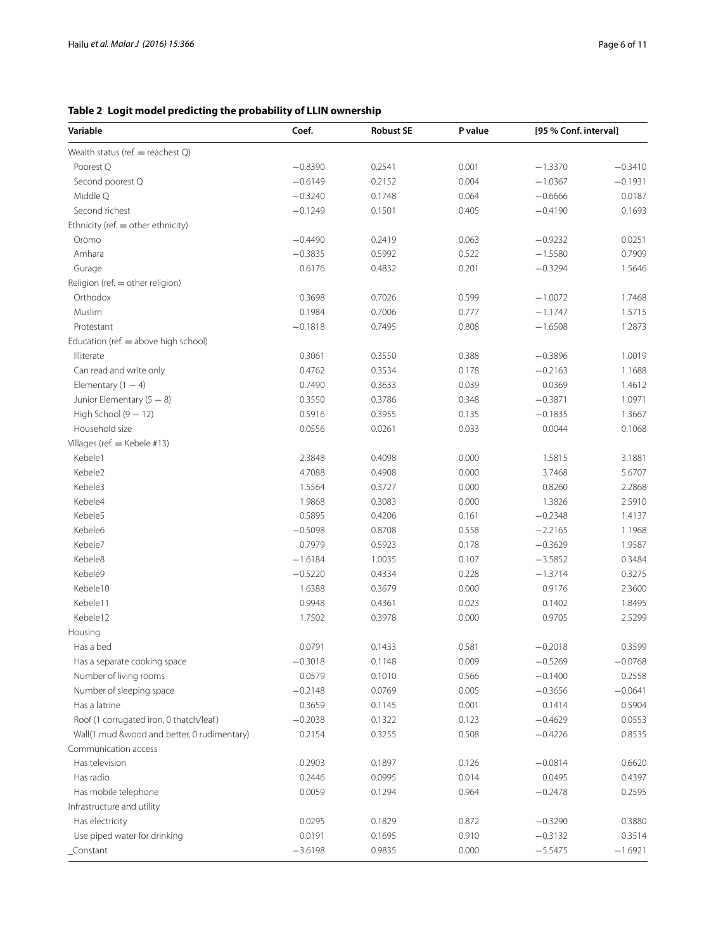# <span id="page-5-0"></span>**Table 2 Logit model predicting the probability of LLIN ownership**

| Variable                                    | Coef.     | <b>Robust SE</b> | P value | [95 % Conf. interval] |           |  |  |
|---------------------------------------------|-----------|------------------|---------|-----------------------|-----------|--|--|
| Wealth status (ref. $=$ reachest $Q$ )      |           |                  |         |                       |           |  |  |
| Poorest Q                                   | $-0.8390$ | 0.2541           | 0.001   | $-1.3370$             | $-0.3410$ |  |  |
| Second poorest Q                            | $-0.6149$ | 0.2152           | 0.004   | $-1.0367$             | $-0.1931$ |  |  |
| Middle Q                                    | $-0.3240$ | 0.1748           | 0.064   | $-0.6666$             | 0.0187    |  |  |
| Second richest                              | $-0.1249$ | 0.1501           | 0.405   | $-0.4190$             | 0.1693    |  |  |
| Ethnicity (ref. = other ethnicity)          |           |                  |         |                       |           |  |  |
| Oromo                                       | $-0.4490$ | 0.2419           | 0.063   | $-0.9232$             | 0.0251    |  |  |
| Amhara                                      | $-0.3835$ | 0.5992           | 0.522   | $-1.5580$             | 0.7909    |  |  |
| Gurage                                      | 0.6176    | 0.4832           | 0.201   | $-0.3294$             | 1.5646    |  |  |
| Religion (ref. = other religion)            |           |                  |         |                       |           |  |  |
| Orthodox                                    | 0.3698    | 0.7026           | 0.599   | $-1.0072$             | 1.7468    |  |  |
| Muslim                                      | 0.1984    | 0.7006           | 0.777   | $-1.1747$             | 1.5715    |  |  |
| Protestant                                  | $-0.1818$ | 0.7495           | 0.808   | $-1.6508$             | 1.2873    |  |  |
| Education (ref. $=$ above high school)      |           |                  |         |                       |           |  |  |
| Illiterate                                  | 0.3061    | 0.3550           | 0.388   | $-0.3896$             | 1.0019    |  |  |
| Can read and write only                     | 0.4762    | 0.3534           | 0.178   | $-0.2163$             | 1.1688    |  |  |
| Elementary $(1 - 4)$                        | 0.7490    | 0.3633           | 0.039   | 0.0369                | 1.4612    |  |  |
| Junior Elementary $(5 - 8)$                 | 0.3550    | 0.3786           | 0.348   | $-0.3871$             | 1.0971    |  |  |
| High School $(9 - 12)$                      | 0.5916    | 0.3955           | 0.135   | $-0.1835$             | 1.3667    |  |  |
| Household size                              | 0.0556    | 0.0261           | 0.033   | 0.0044                | 0.1068    |  |  |
| Villages (ref. = Kebele #13)                |           |                  |         |                       |           |  |  |
| Kebele1                                     | 2.3848    | 0.4098           | 0.000   | 1.5815                | 3.1881    |  |  |
| Kebele2                                     | 4.7088    | 0.4908           | 0.000   | 3.7468                | 5.6707    |  |  |
| Kebele3                                     | 1.5564    | 0.3727           | 0.000   | 0.8260                | 2.2868    |  |  |
| Kebele4                                     | 1.9868    | 0.3083           | 0.000   | 1.3826                | 2.5910    |  |  |
| Kebele5                                     | 0.5895    | 0.4206           | 0.161   | $-0.2348$             | 1.4137    |  |  |
| Kebele6                                     | $-0.5098$ | 0.8708           | 0.558   | $-2.2165$             | 1.1968    |  |  |
| Kebele7                                     | 0.7979    | 0.5923           | 0.178   | $-0.3629$             | 1.9587    |  |  |
| Kebele8                                     | $-1.6184$ | 1.0035           | 0.107   | $-3.5852$             | 0.3484    |  |  |
| Kebele9                                     | $-0.5220$ | 0.4334           | 0.228   | $-1.3714$             | 0.3275    |  |  |
| Kebele10                                    | 1.6388    | 0.3679           | 0.000   | 0.9176                | 2.3600    |  |  |
| Kebele11                                    | 0.9948    | 0.4361           | 0.023   | 0.1402                | 1.8495    |  |  |
| Kebele12                                    | 1.7502    | 0.3978           | 0.000   | 0.9705                | 2.5299    |  |  |
| Housing                                     |           |                  |         |                       |           |  |  |
| Has a bed                                   | 0.0791    | 0.1433           | 0.581   | $-0.2018$             | 0.3599    |  |  |
| Has a separate cooking space                | $-0.3018$ | 0.1148           | 0.009   | $-0.5269$             | $-0.0768$ |  |  |
| Number of living rooms                      | 0.0579    | 0.1010           | 0.566   | $-0.1400$             | 0.2558    |  |  |
| Number of sleeping space                    | $-0.2148$ | 0.0769           | 0.005   | $-0.3656$             | $-0.0641$ |  |  |
| Has a latrine                               | 0.3659    | 0.1145           | 0.001   | 0.1414                | 0.5904    |  |  |
| Roof (1 corrugated iron, 0 thatch/leaf)     | $-0.2038$ | 0.1322           | 0.123   | $-0.4629$             | 0.0553    |  |  |
| Wall(1 mud &wood and better, 0 rudimentary) | 0.2154    | 0.3255           | 0.508   | $-0.4226$             | 0.8535    |  |  |
| Communication access                        |           |                  |         |                       |           |  |  |
| Has television                              | 0.2903    | 0.1897           | 0.126   | $-0.0814$             | 0.6620    |  |  |
| Has radio                                   | 0.2446    | 0.0995           | 0.014   | 0.0495                | 0.4397    |  |  |
| Has mobile telephone                        | 0.0059    | 0.1294           | 0.964   | $-0.2478$             | 0.2595    |  |  |
| Infrastructure and utility                  |           |                  |         |                       |           |  |  |
| Has electricity                             | 0.0295    | 0.1829           | 0.872   | $-0.3290$             | 0.3880    |  |  |
| Use piped water for drinking                | 0.0191    | 0.1695           | 0.910   | $-0.3132$             | 0.3514    |  |  |
| Constant                                    | $-3.6198$ | 0.9835           | 0.000   | $-5.5475$             | $-1.6921$ |  |  |
|                                             |           |                  |         |                       |           |  |  |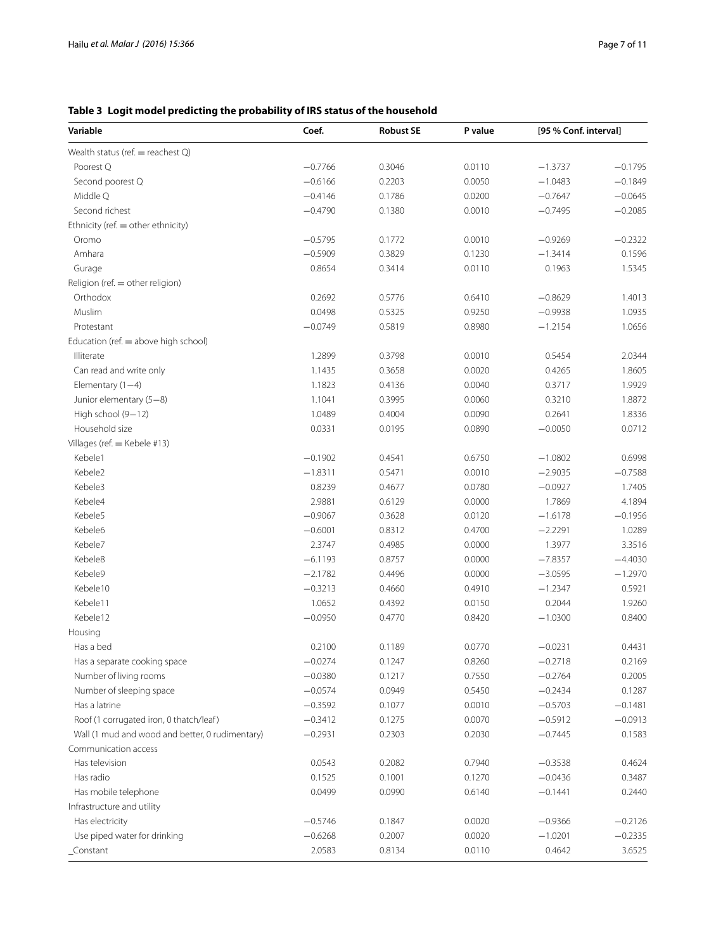# <span id="page-6-0"></span>**Table 3 Logit model predicting the probability of IRS status of the household**

| Variable                                           | Coef.     | <b>Robust SE</b> | P value | [95 % Conf. interval] |           |
|----------------------------------------------------|-----------|------------------|---------|-----------------------|-----------|
| Wealth status (ref. $=$ reachest Q)                |           |                  |         |                       |           |
| Poorest Q                                          | $-0.7766$ | 0.3046           | 0.0110  | $-1.3737$             | $-0.1795$ |
| Second poorest Q                                   | $-0.6166$ | 0.2203           | 0.0050  | $-1.0483$             | $-0.1849$ |
| Middle Q                                           | $-0.4146$ | 0.1786           | 0.0200  | $-0.7647$             | $-0.0645$ |
| Second richest                                     | $-0.4790$ | 0.1380           | 0.0010  | $-0.7495$             | $-0.2085$ |
| Ethnicity (ref. = other ethnicity)                 |           |                  |         |                       |           |
| Oromo                                              | $-0.5795$ | 0.1772           | 0.0010  | $-0.9269$             | $-0.2322$ |
| Amhara                                             | $-0.5909$ | 0.3829           | 0.1230  | $-1.3414$             | 0.1596    |
| Gurage                                             | 0.8654    | 0.3414           | 0.0110  | 0.1963                | 1.5345    |
| Religion (ref. = other religion)                   |           |                  |         |                       |           |
| Orthodox                                           | 0.2692    | 0.5776           | 0.6410  | $-0.8629$             | 1.4013    |
| Muslim                                             | 0.0498    | 0.5325           | 0.9250  | $-0.9938$             | 1.0935    |
| Protestant                                         | $-0.0749$ | 0.5819           | 0.8980  | $-1.2154$             | 1.0656    |
| Education (ref. = above high school)               |           |                  |         |                       |           |
| Illiterate                                         | 1.2899    | 0.3798           | 0.0010  | 0.5454                | 2.0344    |
| Can read and write only                            | 1.1435    | 0.3658           | 0.0020  | 0.4265                | 1.8605    |
| Elementary $(1-4)$                                 | 1.1823    | 0.4136           | 0.0040  | 0.3717                | 1.9929    |
| Junior elementary (5-8)                            | 1.1041    | 0.3995           | 0.0060  | 0.3210                | 1.8872    |
| High school (9-12)                                 | 1.0489    | 0.4004           | 0.0090  | 0.2641                | 1.8336    |
| Household size                                     | 0.0331    | 0.0195           | 0.0890  | $-0.0050$             | 0.0712    |
| Villages (ref. = Kebele #13)                       |           |                  |         |                       |           |
| Kebele1                                            | $-0.1902$ | 0.4541           | 0.6750  | $-1.0802$             | 0.6998    |
| Kebele2                                            | $-1.8311$ | 0.5471           | 0.0010  | $-2.9035$             | $-0.7588$ |
| Kebele3                                            | 0.8239    | 0.4677           | 0.0780  | $-0.0927$             | 1.7405    |
| Kebele4                                            | 2.9881    | 0.6129           | 0.0000  | 1.7869                | 4.1894    |
| Kebele5                                            | $-0.9067$ | 0.3628           | 0.0120  | $-1.6178$             | $-0.1956$ |
| Kebele6                                            | $-0.6001$ | 0.8312           | 0.4700  | $-2.2291$             | 1.0289    |
| Kebele7                                            | 2.3747    | 0.4985           | 0.0000  | 1.3977                | 3.3516    |
| Kebele8                                            | $-6.1193$ | 0.8757           | 0.0000  | $-7.8357$             | $-4.4030$ |
| Kebele9                                            | $-2.1782$ | 0.4496           | 0.0000  | $-3.0595$             | $-1.2970$ |
| Kebele10                                           | $-0.3213$ | 0.4660           | 0.4910  | $-1.2347$             | 0.5921    |
| Kebele11                                           | 1.0652    | 0.4392           | 0.0150  | 0.2044                | 1.9260    |
| Kebele12                                           | $-0.0950$ | 0.4770           | 0.8420  | $-1.0300$             | 0.8400    |
| Housing                                            |           |                  |         |                       |           |
| Has a bed                                          | 0.2100    | 0.1189           | 0.0770  | $-0.0231$             | 0.4431    |
| Has a separate cooking space                       | $-0.0274$ | 0.1247           | 0.8260  | $-0.2718$             | 0.2169    |
| Number of living rooms                             | $-0.0380$ | 0.1217           | 0.7550  | $-0.2764$             | 0.2005    |
| Number of sleeping space                           | $-0.0574$ | 0.0949           | 0.5450  | $-0.2434$             | 0.1287    |
| Has a latrine                                      | $-0.3592$ | 0.1077           | 0.0010  | $-0.5703$             | $-0.1481$ |
| Roof (1 corrugated iron, 0 thatch/leaf)            | $-0.3412$ | 0.1275           | 0.0070  | $-0.5912$             | $-0.0913$ |
| Wall (1 mud and wood and better, 0 rudimentary)    | $-0.2931$ | 0.2303           | 0.2030  | $-0.7445$             | 0.1583    |
| Communication access                               |           |                  |         |                       |           |
| Has television                                     | 0.0543    | 0.2082           | 0.7940  | $-0.3538$             | 0.4624    |
| Has radio                                          | 0.1525    | 0.1001           | 0.1270  | $-0.0436$             | 0.3487    |
|                                                    | 0.0499    | 0.0990           |         | $-0.1441$             |           |
| Has mobile telephone<br>Infrastructure and utility |           |                  | 0.6140  |                       | 0.2440    |
| Has electricity                                    | $-0.5746$ | 0.1847           | 0.0020  | $-0.9366$             | $-0.2126$ |
|                                                    |           |                  |         |                       |           |
| Use piped water for drinking                       | $-0.6268$ | 0.2007           | 0.0020  | $-1.0201$             | $-0.2335$ |
| _Constant                                          | 2.0583    | 0.8134           | 0.0110  | 0.4642                | 3.6525    |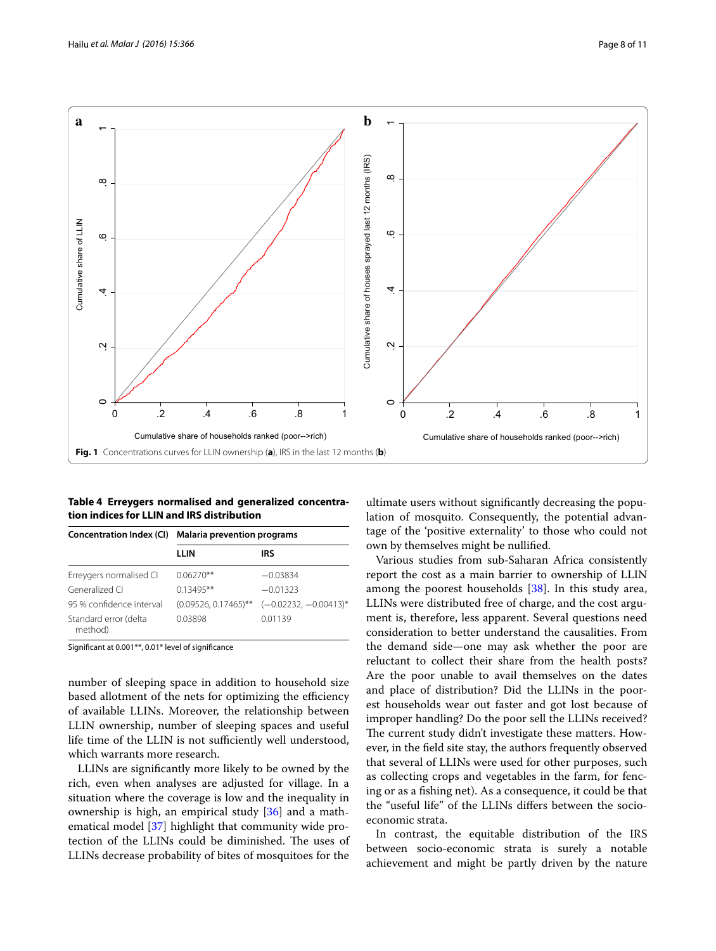

<span id="page-7-1"></span><span id="page-7-0"></span>**Table 4 Erreygers normalised and generalized concentration indices for LLIN and IRS distribution**

| <b>Concentration Index (CI)</b>  | <b>Malaria prevention programs</b> |                                                  |  |  |
|----------------------------------|------------------------------------|--------------------------------------------------|--|--|
|                                  | LLIN                               | IRS                                              |  |  |
| Erreygers normalised CI          | $0.06270**$                        | $-0.03834$                                       |  |  |
| Generalized CL                   | $0.13495**$                        | $-0.01323$                                       |  |  |
| 95 % confidence interval         |                                    | $(0.09526, 0.17465)$ ** $(-0.02232, -0.00413)$ * |  |  |
| Standard error (delta<br>method) | 0.03898                            | 0.01139                                          |  |  |

Significant at 0.001\*\*, 0.01\* level of significance

number of sleeping space in addition to household size based allotment of the nets for optimizing the efficiency of available LLINs. Moreover, the relationship between LLIN ownership, number of sleeping spaces and useful life time of the LLIN is not sufficiently well understood, which warrants more research.

LLINs are significantly more likely to be owned by the rich, even when analyses are adjusted for village. In a situation where the coverage is low and the inequality in ownership is high, an empirical study [\[36\]](#page-10-20) and a mathematical model [[37\]](#page-10-21) highlight that community wide protection of the LLINs could be diminished. The uses of LLINs decrease probability of bites of mosquitoes for the

ultimate users without significantly decreasing the population of mosquito. Consequently, the potential advantage of the 'positive externality' to those who could not own by themselves might be nullified.

Various studies from sub-Saharan Africa consistently report the cost as a main barrier to ownership of LLIN among the poorest households [\[38\]](#page-10-22). In this study area, LLINs were distributed free of charge, and the cost argument is, therefore, less apparent. Several questions need consideration to better understand the causalities. From the demand side—one may ask whether the poor are reluctant to collect their share from the health posts? Are the poor unable to avail themselves on the dates and place of distribution? Did the LLINs in the poorest households wear out faster and got lost because of improper handling? Do the poor sell the LLINs received? The current study didn't investigate these matters. However, in the field site stay, the authors frequently observed that several of LLINs were used for other purposes, such as collecting crops and vegetables in the farm, for fencing or as a fishing net). As a consequence, it could be that the "useful life" of the LLINs differs between the socioeconomic strata.

In contrast, the equitable distribution of the IRS between socio-economic strata is surely a notable achievement and might be partly driven by the nature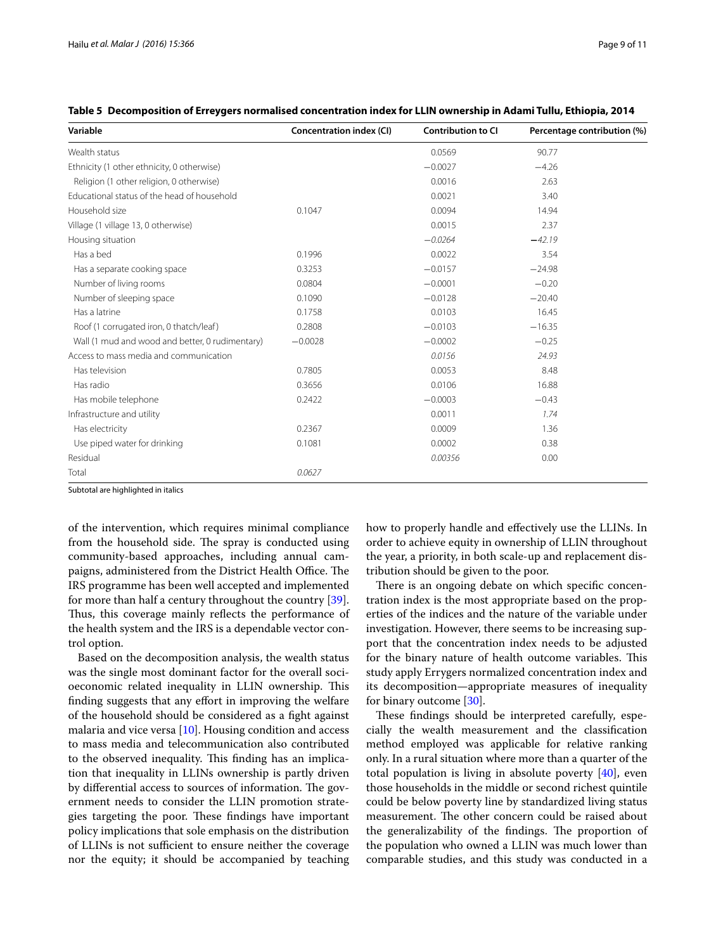| Variable                                        | <b>Concentration index (CI)</b> | <b>Contribution to Cl</b> | Percentage contribution (%) |
|-------------------------------------------------|---------------------------------|---------------------------|-----------------------------|
| Wealth status                                   |                                 | 0.0569                    | 90.77                       |
| Ethnicity (1 other ethnicity, 0 otherwise)      |                                 | $-0.0027$                 | $-4.26$                     |
| Religion (1 other religion, 0 otherwise)        |                                 | 0.0016                    | 2.63                        |
| Educational status of the head of household     |                                 | 0.0021                    | 3.40                        |
| Household size                                  | 0.1047                          | 0.0094                    | 14.94                       |
| Village (1 village 13, 0 otherwise)             |                                 | 0.0015                    | 2.37                        |
| Housing situation                               |                                 | $-0.0264$                 | $-42.19$                    |
| Has a bed                                       | 0.1996                          | 0.0022                    | 3.54                        |
| Has a separate cooking space                    | 0.3253                          | $-0.0157$                 | $-24.98$                    |
| Number of living rooms                          | 0.0804                          | $-0.0001$                 | $-0.20$                     |
| Number of sleeping space                        | 0.1090                          | $-0.0128$                 | $-20.40$                    |
| Has a latrine                                   | 0.1758                          | 0.0103                    | 16.45                       |
| Roof (1 corrugated iron, 0 thatch/leaf)         | 0.2808                          | $-0.0103$                 | $-16.35$                    |
| Wall (1 mud and wood and better, 0 rudimentary) | $-0.0028$                       | $-0.0002$                 | $-0.25$                     |
| Access to mass media and communication          |                                 | 0.0156                    | 24.93                       |
| Has television                                  | 0.7805                          | 0.0053                    | 8.48                        |
| Has radio                                       | 0.3656                          | 0.0106                    | 16.88                       |
| Has mobile telephone                            | 0.2422                          | $-0.0003$                 | $-0.43$                     |
| Infrastructure and utility                      |                                 | 0.0011                    | 1.74                        |
| Has electricity                                 | 0.2367                          | 0.0009                    | 1.36                        |
| Use piped water for drinking                    | 0.1081                          | 0.0002                    | 0.38                        |
| Residual                                        |                                 | 0.00356                   | 0.00                        |
| Total                                           | 0.0627                          |                           |                             |

<span id="page-8-0"></span>**Table 5 Decomposition of Erreygers normalised concentration index for LLIN ownership in Adami Tullu, Ethiopia, 2014**

Subtotal are highlighted in italics

of the intervention, which requires minimal compliance from the household side. The spray is conducted using community-based approaches, including annual campaigns, administered from the District Health Office. The IRS programme has been well accepted and implemented for more than half a century throughout the country [\[39](#page-10-23)]. Thus, this coverage mainly reflects the performance of the health system and the IRS is a dependable vector control option.

Based on the decomposition analysis, the wealth status was the single most dominant factor for the overall socioeconomic related inequality in LLIN ownership. This finding suggests that any effort in improving the welfare of the household should be considered as a fight against malaria and vice versa [[10\]](#page-9-9). Housing condition and access to mass media and telecommunication also contributed to the observed inequality. This finding has an implication that inequality in LLINs ownership is partly driven by differential access to sources of information. The government needs to consider the LLIN promotion strategies targeting the poor. These findings have important policy implications that sole emphasis on the distribution of LLINs is not sufficient to ensure neither the coverage nor the equity; it should be accompanied by teaching how to properly handle and effectively use the LLINs. In order to achieve equity in ownership of LLIN throughout the year, a priority, in both scale-up and replacement distribution should be given to the poor.

There is an ongoing debate on which specific concentration index is the most appropriate based on the properties of the indices and the nature of the variable under investigation. However, there seems to be increasing support that the concentration index needs to be adjusted for the binary nature of health outcome variables. This study apply Errygers normalized concentration index and its decomposition—appropriate measures of inequality for binary outcome [[30\]](#page-10-14).

These findings should be interpreted carefully, especially the wealth measurement and the classification method employed was applicable for relative ranking only. In a rural situation where more than a quarter of the total population is living in absolute poverty [\[40](#page-10-24)], even those households in the middle or second richest quintile could be below poverty line by standardized living status measurement. The other concern could be raised about the generalizability of the findings. The proportion of the population who owned a LLIN was much lower than comparable studies, and this study was conducted in a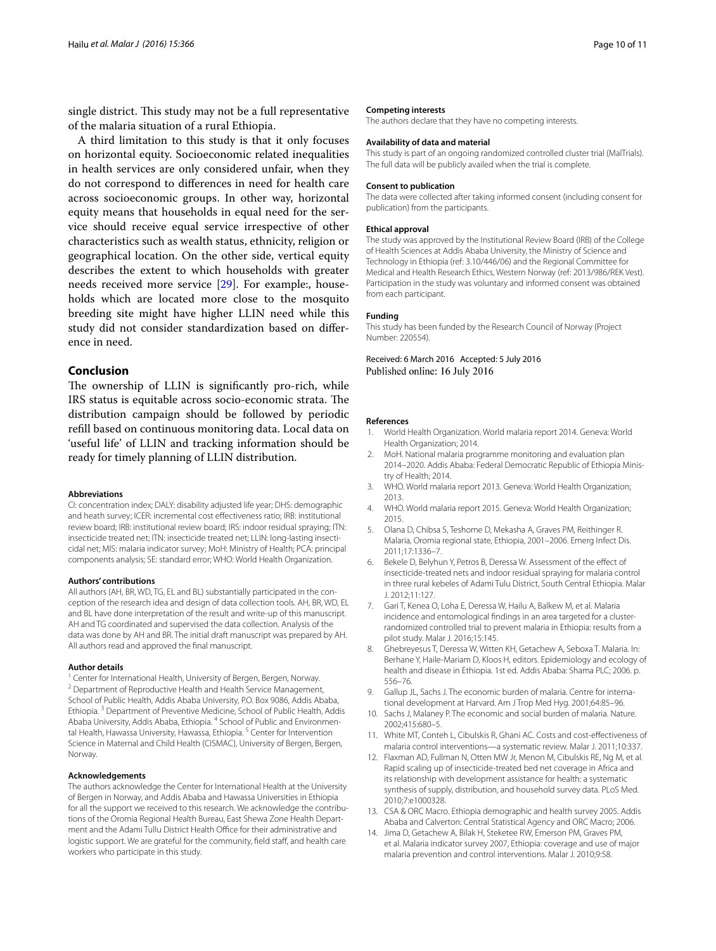single district. This study may not be a full representative of the malaria situation of a rural Ethiopia.

A third limitation to this study is that it only focuses on horizontal equity. Socioeconomic related inequalities in health services are only considered unfair, when they do not correspond to differences in need for health care across socioeconomic groups. In other way, horizontal equity means that households in equal need for the service should receive equal service irrespective of other characteristics such as wealth status, ethnicity, religion or geographical location. On the other side, vertical equity describes the extent to which households with greater needs received more service [\[29](#page-10-13)]. For example:, households which are located more close to the mosquito breeding site might have higher LLIN need while this study did not consider standardization based on difference in need.

# **Conclusion**

The ownership of LLIN is significantly pro-rich, while IRS status is equitable across socio-economic strata. The distribution campaign should be followed by periodic refill based on continuous monitoring data. Local data on 'useful life' of LLIN and tracking information should be ready for timely planning of LLIN distribution.

#### **Abbreviations**

CI: concentration index; DALY: disability adjusted life year; DHS: demographic and heath survey; ICER: incremental cost effectiveness ratio; IRB: institutional review board; IRB: institutional review board; IRS: indoor residual spraying; ITN: insecticide treated net; ITN: insecticide treated net; LLIN: long-lasting insecticidal net; MIS: malaria indicator survey; MoH: Ministry of Health; PCA: principal components analysis; SE: standard error; WHO: World Health Organization.

#### **Authors' contributions**

All authors (AH, BR, WD, TG, EL and BL) substantially participated in the conception of the research idea and design of data collection tools. AH, BR, WD, EL and BL have done interpretation of the result and write-up of this manuscript. AH and TG coordinated and supervised the data collection. Analysis of the data was done by AH and BR. The initial draft manuscript was prepared by AH. All authors read and approved the final manuscript.

#### **Author details**

 $1$  Center for International Health, University of Bergen, Bergen, Norway.<br><sup>2</sup> Department of Reproductive Health and Health Service Management, School of Public Health, Addis Ababa University, P.O. Box 9086, Addis Ababa, Ethiopia. <sup>3</sup> Department of Preventive Medicine, School of Public Health, Addis Ababa University, Addis Ababa, Ethiopia. <sup>4</sup> School of Public and Environmental Health, Hawassa University, Hawassa, Ethiopia.<sup>5</sup> Center for Intervention Science in Maternal and Child Health (CISMAC), University of Bergen, Bergen, Norway.

#### **Acknowledgements**

The authors acknowledge the Center for International Health at the University of Bergen in Norway, and Addis Ababa and Hawassa Universities in Ethiopia for all the support we received to this research. We acknowledge the contributions of the Oromia Regional Health Bureau, East Shewa Zone Health Department and the Adami Tullu District Health Office for their administrative and logistic support. We are grateful for the community, field staff, and health care workers who participate in this study.

## **Competing interests**

The authors declare that they have no competing interests.

## **Availability of data and material**

This study is part of an ongoing randomized controlled cluster trial (MalTrials). The full data will be publicly availed when the trial is complete.

## **Consent to publication**

The data were collected after taking informed consent (including consent for publication) from the participants.

#### **Ethical approval**

The study was approved by the Institutional Review Board (IRB) of the College of Health Sciences at Addis Ababa University, the Ministry of Science and Technology in Ethiopia (ref: 3.10/446/06) and the Regional Committee for Medical and Health Research Ethics, Western Norway (ref: 2013/986/REK Vest). Participation in the study was voluntary and informed consent was obtained from each participant.

## **Funding**

This study has been funded by the Research Council of Norway (Project Number: 220554).

Received: 6 March 2016 Accepted: 5 July 2016 Published online: 16 July 2016

#### **References**

- <span id="page-9-0"></span>1. World Health Organization. World malaria report 2014. Geneva: World Health Organization; 2014.
- <span id="page-9-1"></span>2. MoH. National malaria programme monitoring and evaluation plan 2014–2020. Addis Ababa: Federal Democratic Republic of Ethiopia Ministry of Health; 2014.
- <span id="page-9-2"></span>3. WHO. World malaria report 2013. Geneva: World Health Organization; 2013.
- <span id="page-9-3"></span>4. WHO. World malaria report 2015. Geneva: World Health Organization; 2015.
- <span id="page-9-4"></span>5. Olana D, Chibsa S, Teshome D, Mekasha A, Graves PM, Reithinger R. Malaria, Oromia regional state, Ethiopia, 2001–2006. Emerg Infect Dis. 2011;17:1336–7.
- <span id="page-9-5"></span>6. Bekele D, Belyhun Y, Petros B, Deressa W. Assessment of the effect of insecticide-treated nets and indoor residual spraying for malaria control in three rural kebeles of Adami Tulu District, South Central Ethiopia. Malar J. 2012;11:127.
- <span id="page-9-6"></span>7. Gari T, Kenea O, Loha E, Deressa W, Hailu A, Balkew M, et al. Malaria incidence and entomological findings in an area targeted for a clusterrandomized controlled trial to prevent malaria in Ethiopia: results from a pilot study. Malar J. 2016;15:145.
- <span id="page-9-7"></span>8. Ghebreyesus T, Deressa W, Witten KH, Getachew A, Seboxa T. Malaria. In: Berhane Y, Haile-Mariam D, Kloos H, editors. Epidemiology and ecology of health and disease in Ethiopia. 1st ed. Addis Ababa: Shama PLC; 2006. p. 556–76.
- <span id="page-9-8"></span>9. Gallup JL, Sachs J. The economic burden of malaria. Centre for international development at Harvard. Am J Trop Med Hyg. 2001;64:85–96.
- <span id="page-9-9"></span>10. Sachs J, Malaney P. The economic and social burden of malaria. Nature. 2002;415:680–5.
- <span id="page-9-10"></span>11. White MT, Conteh L, Cibulskis R, Ghani AC. Costs and cost-effectiveness of malaria control interventions—a systematic review. Malar J. 2011;10:337.
- <span id="page-9-11"></span>12. Flaxman AD, Fullman N, Otten MW Jr, Menon M, Cibulskis RE, Ng M, et al. Rapid scaling up of insecticide-treated bed net coverage in Africa and its relationship with development assistance for health: a systematic synthesis of supply, distribution, and household survey data. PLoS Med. 2010;7:e1000328.
- <span id="page-9-12"></span>13. CSA & ORC Macro. Ethiopia demographic and health survey 2005. Addis Ababa and Calverton: Central Statistical Agency and ORC Macro; 2006.
- <span id="page-9-13"></span>14. Jima D, Getachew A, Bilak H, Steketee RW, Emerson PM, Graves PM, et al. Malaria indicator survey 2007, Ethiopia: coverage and use of major malaria prevention and control interventions. Malar J. 2010;9:58.